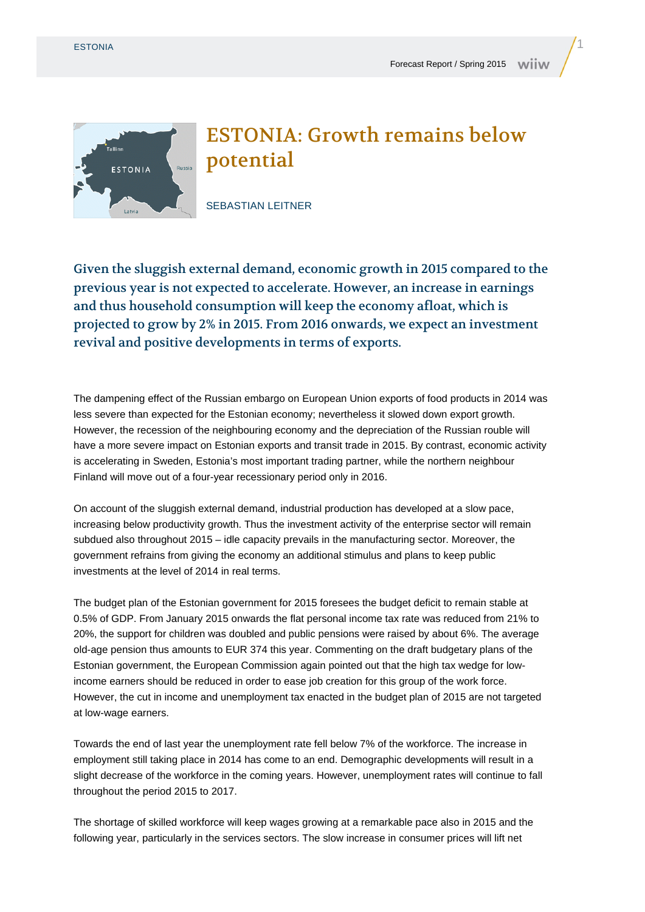

## ESTONIA: Growth remains below potential

SEBASTIAN LEITNER

Given the sluggish external demand, economic growth in 2015 compared to the previous year is not expected to accelerate. However, an increase in earnings and thus household consumption will keep the economy afloat, which is projected to grow by 2% in 2015. From 2016 onwards, we expect an investment revival and positive developments in terms of exports.

The dampening effect of the Russian embargo on European Union exports of food products in 2014 was less severe than expected for the Estonian economy; nevertheless it slowed down export growth. However, the recession of the neighbouring economy and the depreciation of the Russian rouble will have a more severe impact on Estonian exports and transit trade in 2015. By contrast, economic activity is accelerating in Sweden, Estonia's most important trading partner, while the northern neighbour Finland will move out of a four-year recessionary period only in 2016.

On account of the sluggish external demand, industrial production has developed at a slow pace, increasing below productivity growth. Thus the investment activity of the enterprise sector will remain subdued also throughout 2015 – idle capacity prevails in the manufacturing sector. Moreover, the government refrains from giving the economy an additional stimulus and plans to keep public investments at the level of 2014 in real terms.

The budget plan of the Estonian government for 2015 foresees the budget deficit to remain stable at 0.5% of GDP. From January 2015 onwards the flat personal income tax rate was reduced from 21% to 20%, the support for children was doubled and public pensions were raised by about 6%. The average old-age pension thus amounts to EUR 374 this year. Commenting on the draft budgetary plans of the Estonian government, the European Commission again pointed out that the high tax wedge for lowincome earners should be reduced in order to ease job creation for this group of the work force. However, the cut in income and unemployment tax enacted in the budget plan of 2015 are not targeted at low-wage earners.

Towards the end of last year the unemployment rate fell below 7% of the workforce. The increase in employment still taking place in 2014 has come to an end. Demographic developments will result in a slight decrease of the workforce in the coming years. However, unemployment rates will continue to fall throughout the period 2015 to 2017.

The shortage of skilled workforce will keep wages growing at a remarkable pace also in 2015 and the following year, particularly in the services sectors. The slow increase in consumer prices will lift net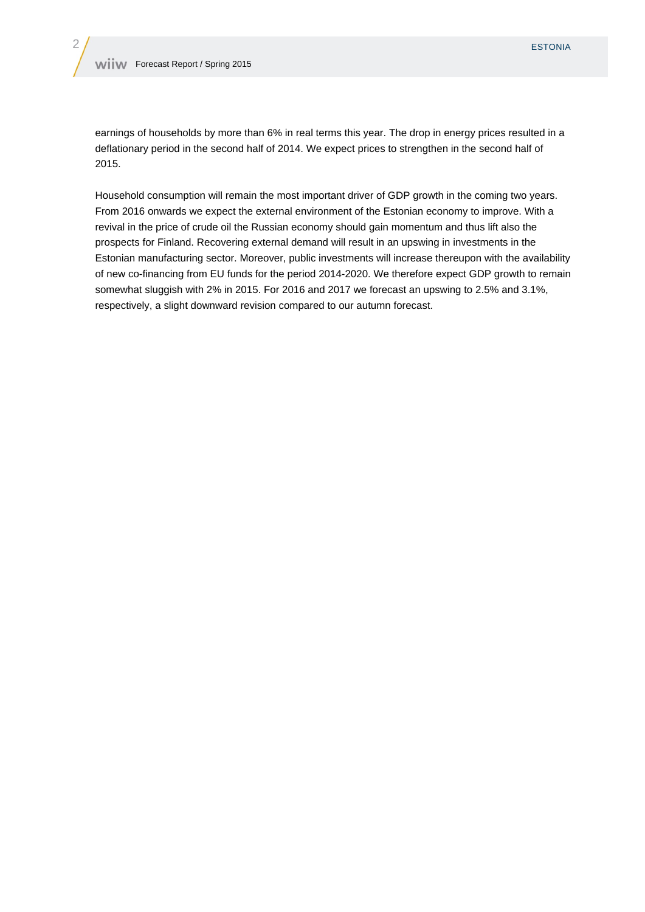earnings of households by more than 6% in real terms this year. The drop in energy prices resulted in a deflationary period in the second half of 2014. We expect prices to strengthen in the second half of 2015.

Household consumption will remain the most important driver of GDP growth in the coming two years. From 2016 onwards we expect the external environment of the Estonian economy to improve. With a revival in the price of crude oil the Russian economy should gain momentum and thus lift also the prospects for Finland. Recovering external demand will result in an upswing in investments in the Estonian manufacturing sector. Moreover, public investments will increase thereupon with the availability of new co-financing from EU funds for the period 2014-2020. We therefore expect GDP growth to remain somewhat sluggish with 2% in 2015. For 2016 and 2017 we forecast an upswing to 2.5% and 3.1%, respectively, a slight downward revision compared to our autumn forecast.